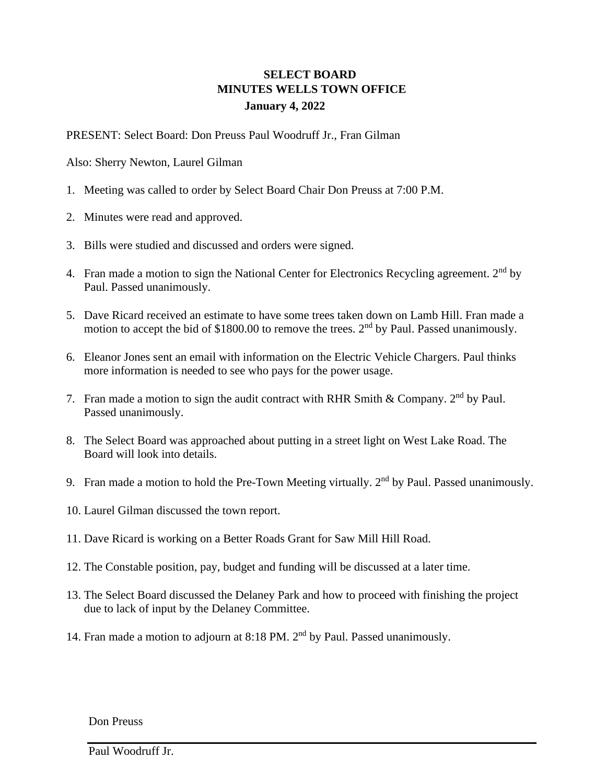## **SELECT BOARD MINUTES WELLS TOWN OFFICE January 4, 2022**

PRESENT: Select Board: Don Preuss Paul Woodruff Jr., Fran Gilman

Also: Sherry Newton, Laurel Gilman

- 1. Meeting was called to order by Select Board Chair Don Preuss at 7:00 P.M.
- 2. Minutes were read and approved.
- 3. Bills were studied and discussed and orders were signed.
- 4. Fran made a motion to sign the National Center for Electronics Recycling agreement.  $2<sup>nd</sup>$  by Paul. Passed unanimously.
- 5. Dave Ricard received an estimate to have some trees taken down on Lamb Hill. Fran made a motion to accept the bid of \$1800.00 to remove the trees. 2<sup>nd</sup> by Paul. Passed unanimously.
- 6. Eleanor Jones sent an email with information on the Electric Vehicle Chargers. Paul thinks more information is needed to see who pays for the power usage.
- 7. Fran made a motion to sign the audit contract with RHR Smith & Company.  $2<sup>nd</sup>$  by Paul. Passed unanimously.
- 8. The Select Board was approached about putting in a street light on West Lake Road. The Board will look into details.
- 9. Fran made a motion to hold the Pre-Town Meeting virtually.  $2<sup>nd</sup>$  by Paul. Passed unanimously.
- 10. Laurel Gilman discussed the town report.
- 11. Dave Ricard is working on a Better Roads Grant for Saw Mill Hill Road.
- 12. The Constable position, pay, budget and funding will be discussed at a later time.
- 13. The Select Board discussed the Delaney Park and how to proceed with finishing the project due to lack of input by the Delaney Committee.
- 14. Fran made a motion to adjourn at 8:18 PM. 2<sup>nd</sup> by Paul. Passed unanimously.

Don Preuss

Paul Woodruff Jr.